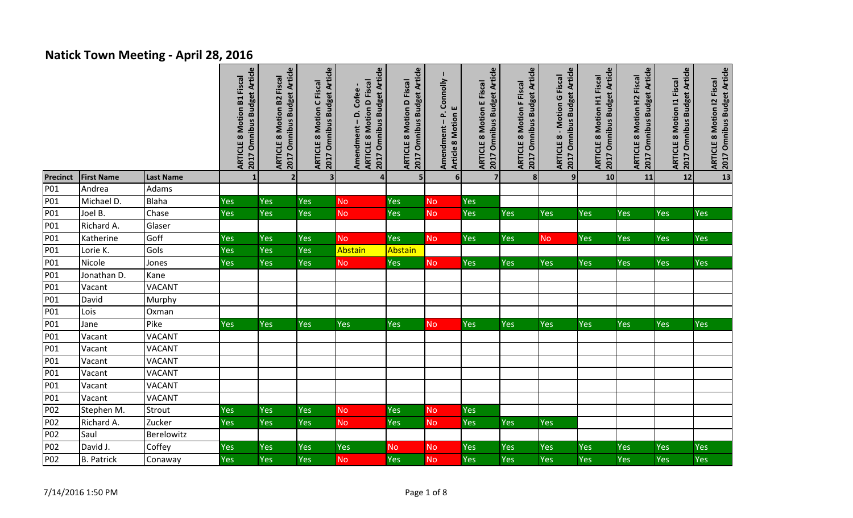## **Natick Town Meeting - April 28, 2016**

|                 |                   |                  | 2017 Omnibus Budget Article<br><b>ARTICLE 8 Motion B1 Fiscal</b> | 2017 Omnibus Budget Article<br><b>ARTICLE 8 Motion B2 Fiscal</b> | 2017 Omnibus Budget Article<br><b>ARTICLE 8 Motion C Fiscal</b> | 2017 Omnibus Budget Article<br><b>ARTICLE 8 Motion D Fiscal</b><br>Amendment-D.Cofee- | 2017 Omnibus Budget Article<br><b>ARTICLE 8 Motion D Fiscal</b> | Amendment - P. Connolly<br>Article 8 Motion E | 2017 Omnibus Budget Article<br><b>ARTICLE 8 Motion E Fiscal</b> | 2017 Omnibus Budget Article<br><b>ARTICLE 8 Motion F Fiscal</b> | 2017 Omnibus Budget Article<br><b>ARTICLE 8 - Motion G Fiscal</b> | 2017 Omnibus Budget Article<br><b>ARTICLE 8 Motion H1 Fiscal</b> | 2017 Omnibus Budget Article<br><b>ARTICLE 8 Motion H2 Fiscal</b> | 2017 Omnibus Budget Article<br><b>ARTICLE 8 Motion 11 Fiscal</b> | ARTICLE 8 Motion I2 Fiscal<br> 2017 Omnibus Budget Article |
|-----------------|-------------------|------------------|------------------------------------------------------------------|------------------------------------------------------------------|-----------------------------------------------------------------|---------------------------------------------------------------------------------------|-----------------------------------------------------------------|-----------------------------------------------|-----------------------------------------------------------------|-----------------------------------------------------------------|-------------------------------------------------------------------|------------------------------------------------------------------|------------------------------------------------------------------|------------------------------------------------------------------|------------------------------------------------------------|
| <b>Precinct</b> | <b>First Name</b> | <b>Last Name</b> |                                                                  | $\overline{\mathbf{2}}$                                          | $\overline{\mathbf{3}}$                                         | $\boldsymbol{A}$                                                                      | 5                                                               | 6 <sup>1</sup>                                | $\overline{7}$                                                  | 8                                                               | $\overline{9}$                                                    | 10                                                               | 11                                                               | 12                                                               | $\overline{\mathbf{13}}$                                   |
| P01             | Andrea            | Adams            |                                                                  |                                                                  |                                                                 |                                                                                       |                                                                 |                                               |                                                                 |                                                                 |                                                                   |                                                                  |                                                                  |                                                                  |                                                            |
| P01             | Michael D.        | Blaha            | Yes                                                              | Yes                                                              | Yes                                                             | <b>No</b>                                                                             | Yes                                                             | <b>No</b>                                     | Yes                                                             |                                                                 |                                                                   |                                                                  |                                                                  |                                                                  |                                                            |
| P01             | Joel B.           | Chase            | Yes                                                              | Yes                                                              | Yes                                                             | <b>No</b>                                                                             | Yes                                                             | <b>No</b>                                     | Yes                                                             | Yes                                                             | <b>Yes</b>                                                        | Yes                                                              | Yes                                                              | <b>Yes</b>                                                       | Yes                                                        |
| P01             | Richard A.        | Glaser           |                                                                  |                                                                  |                                                                 |                                                                                       |                                                                 |                                               |                                                                 |                                                                 |                                                                   |                                                                  |                                                                  |                                                                  |                                                            |
| P01             | Katherine         | Goff             | Yes                                                              | Yes                                                              | Yes                                                             | <b>No</b>                                                                             | Yes                                                             | <b>No</b>                                     | Yes                                                             | Yes                                                             | <b>No</b>                                                         | Yes                                                              | Yes                                                              | Yes                                                              | Yes                                                        |
| P01             | Lorie K.          | Gols             | Yes                                                              | Yes                                                              | Yes                                                             | Abstain                                                                               | Abstain                                                         |                                               |                                                                 |                                                                 |                                                                   |                                                                  |                                                                  |                                                                  |                                                            |
| P01             | Nicole            | Jones            | Yes                                                              | Yes                                                              | Yes                                                             | <b>No</b>                                                                             | Yes                                                             | <b>No</b>                                     | Yes                                                             | Yes                                                             | Yes                                                               | Yes                                                              | Yes                                                              | Yes                                                              | Yes                                                        |
| P01             | Jonathan D.       | Kane             |                                                                  |                                                                  |                                                                 |                                                                                       |                                                                 |                                               |                                                                 |                                                                 |                                                                   |                                                                  |                                                                  |                                                                  |                                                            |
| P01             | Vacant            | <b>VACANT</b>    |                                                                  |                                                                  |                                                                 |                                                                                       |                                                                 |                                               |                                                                 |                                                                 |                                                                   |                                                                  |                                                                  |                                                                  |                                                            |
| P01             | David             | Murphy           |                                                                  |                                                                  |                                                                 |                                                                                       |                                                                 |                                               |                                                                 |                                                                 |                                                                   |                                                                  |                                                                  |                                                                  |                                                            |
| P01             | Lois              | Oxman            |                                                                  |                                                                  |                                                                 |                                                                                       |                                                                 |                                               |                                                                 |                                                                 |                                                                   |                                                                  |                                                                  |                                                                  |                                                            |
| P01             | Jane              | Pike             | Yes                                                              | Yes                                                              | Yes                                                             | Yes                                                                                   | Yes                                                             | <b>No</b>                                     | Yes                                                             | Yes                                                             | Yes                                                               | Yes                                                              | Yes                                                              | <b>Yes</b>                                                       | Yes                                                        |
| P01             | Vacant            | <b>VACANT</b>    |                                                                  |                                                                  |                                                                 |                                                                                       |                                                                 |                                               |                                                                 |                                                                 |                                                                   |                                                                  |                                                                  |                                                                  |                                                            |
| P01             | Vacant            | <b>VACANT</b>    |                                                                  |                                                                  |                                                                 |                                                                                       |                                                                 |                                               |                                                                 |                                                                 |                                                                   |                                                                  |                                                                  |                                                                  |                                                            |
| P01             | Vacant            | <b>VACANT</b>    |                                                                  |                                                                  |                                                                 |                                                                                       |                                                                 |                                               |                                                                 |                                                                 |                                                                   |                                                                  |                                                                  |                                                                  |                                                            |
| P01             | Vacant            | <b>VACANT</b>    |                                                                  |                                                                  |                                                                 |                                                                                       |                                                                 |                                               |                                                                 |                                                                 |                                                                   |                                                                  |                                                                  |                                                                  |                                                            |
| P01             | Vacant            | <b>VACANT</b>    |                                                                  |                                                                  |                                                                 |                                                                                       |                                                                 |                                               |                                                                 |                                                                 |                                                                   |                                                                  |                                                                  |                                                                  |                                                            |
| P01             | Vacant            | <b>VACANT</b>    |                                                                  |                                                                  |                                                                 |                                                                                       |                                                                 |                                               |                                                                 |                                                                 |                                                                   |                                                                  |                                                                  |                                                                  |                                                            |
| P02             | Stephen M.        | Strout           | Yes                                                              | Yes                                                              | Yes                                                             | <b>No</b>                                                                             | Yes                                                             | <b>No</b>                                     | Yes                                                             |                                                                 |                                                                   |                                                                  |                                                                  |                                                                  |                                                            |
| P02             | Richard A.        | Zucker           | Yes                                                              | Yes                                                              | Yes                                                             | <b>No</b>                                                                             | Yes                                                             | <b>No</b>                                     | Yes                                                             | <b>Yes</b>                                                      | <b>Yes</b>                                                        |                                                                  |                                                                  |                                                                  |                                                            |
| P02             | Saul              | Berelowitz       |                                                                  |                                                                  |                                                                 |                                                                                       |                                                                 |                                               |                                                                 |                                                                 |                                                                   |                                                                  |                                                                  |                                                                  |                                                            |
| P02             | David J.          | Coffey           | Yes                                                              | Yes                                                              | Yes                                                             | Yes                                                                                   | <b>No</b>                                                       | No                                            | Yes                                                             | Yes                                                             | Yes                                                               | Yes                                                              | Yes                                                              | Yes                                                              | Yes                                                        |
| P02             | <b>B.</b> Patrick | Conaway          | Yes                                                              | Yes                                                              | Yes                                                             | <b>No</b>                                                                             | Yes                                                             | <b>No</b>                                     | Yes                                                             | Yes                                                             | Yes                                                               | Yes                                                              | Yes                                                              | Yes                                                              | Yes                                                        |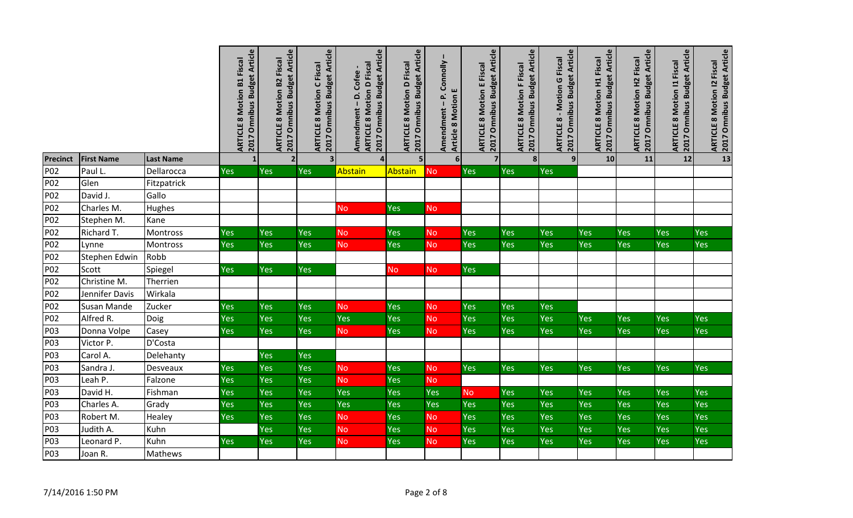|                 |                       |                     | 2017 Omnibus Budget Article<br>Fiscal<br><b>ARTICLE 8 Motion B1</b> | 2017 Omnibus Budget Article<br><b>ARTICLE 8 Motion B2 Fiscal</b> | 2017 Omnibus Budget Article<br>ARTICLE 8 Motion C Fiscal | 2017 Omnibus Budget Article<br><b>ARTICLE 8 Motion D Fiscal</b><br>Amendment - D. Cofee- | 2017 Omnibus Budget Article<br><b>ARTICLE 8 Motion D Fiscal</b> | Connolly<br>ш<br>Amendment-P.<br><b>Article 8 Motion</b> | 2017 Omnibus Budget Article<br><b>ARTICLE 8 Motion E Fiscal</b> | 2017 Omnibus Budget Article<br><b>ARTICLE 8 Motion F Fiscal</b> | 2017 Omnibus Budget Article<br><b>ARTICLE 8 - Motion G Fiscal</b> | 2017 Omnibus Budget Article<br><b>ARTICLE 8 Motion H1 Fiscal</b> | 2017 Omnibus Budget Article<br><b>ARTICLE 8 Motion H2 Fiscal</b> | <b>Omnibus Budget Article</b><br><b>ARTICLE 8 Motion 11 Fiscal</b><br><b>Z017</b> | 2017 Omnibus Budget Article<br><b>ARTICLE 8 Motion 12 Fiscal</b> |
|-----------------|-----------------------|---------------------|---------------------------------------------------------------------|------------------------------------------------------------------|----------------------------------------------------------|------------------------------------------------------------------------------------------|-----------------------------------------------------------------|----------------------------------------------------------|-----------------------------------------------------------------|-----------------------------------------------------------------|-------------------------------------------------------------------|------------------------------------------------------------------|------------------------------------------------------------------|-----------------------------------------------------------------------------------|------------------------------------------------------------------|
| <b>Precinct</b> | <b>First Name</b>     | <b>Last Name</b>    |                                                                     | $\overline{2}$                                                   | $\overline{\mathbf{3}}$                                  | $\overline{a}$                                                                           | 5 <sub>1</sub>                                                  | $6\phantom{1}$                                           | $\overline{7}$                                                  | $\mathbf{8}$                                                    | 9 <sub>l</sub>                                                    | 10                                                               | 11                                                               | 12                                                                                |                                                                  |
| P02             | Paul L.               | Dellarocca          | Yes                                                                 | <b>Yes</b>                                                       | Yes                                                      | <b>Abstain</b>                                                                           | Abstain                                                         | <b>No</b>                                                | Yes                                                             | Yes                                                             | Yes                                                               |                                                                  |                                                                  |                                                                                   |                                                                  |
| P02             | Glen                  | Fitzpatrick         |                                                                     |                                                                  |                                                          |                                                                                          |                                                                 |                                                          |                                                                 |                                                                 |                                                                   |                                                                  |                                                                  |                                                                                   |                                                                  |
| P02             | David J.              | Gallo               |                                                                     |                                                                  |                                                          |                                                                                          |                                                                 |                                                          |                                                                 |                                                                 |                                                                   |                                                                  |                                                                  |                                                                                   |                                                                  |
| P02             | Charles M.            | Hughes              |                                                                     |                                                                  |                                                          | No                                                                                       | Yes                                                             | <b>No</b>                                                |                                                                 |                                                                 |                                                                   |                                                                  |                                                                  |                                                                                   |                                                                  |
| P02             | Stephen M.            | Kane                |                                                                     |                                                                  |                                                          |                                                                                          |                                                                 |                                                          |                                                                 |                                                                 |                                                                   |                                                                  |                                                                  |                                                                                   |                                                                  |
| P02             | Richard T.            | Montross            | Yes                                                                 | Yes                                                              | Yes                                                      | <b>No</b>                                                                                | Yes                                                             | <b>No</b>                                                | Yes                                                             | Yes                                                             | Yes                                                               | Yes                                                              | Yes                                                              | Yes                                                                               | Yes                                                              |
| P02             | Lynne                 | Montross            | Yes                                                                 | Yes                                                              | Yes                                                      | <b>No</b>                                                                                | Yes                                                             | <b>No</b>                                                | Yes                                                             | <b>Yes</b>                                                      | Yes                                                               | Yes                                                              | Yes                                                              | <b>Yes</b>                                                                        | Yes                                                              |
| P02             | Stephen Edwin         | Robb                |                                                                     |                                                                  |                                                          |                                                                                          |                                                                 |                                                          |                                                                 |                                                                 |                                                                   |                                                                  |                                                                  |                                                                                   |                                                                  |
| P02<br>P02      | Scott<br>Christine M. | Spiegel<br>Therrien | <b>Yes</b>                                                          | Yes                                                              | Yes                                                      |                                                                                          | <b>No</b>                                                       | <b>No</b>                                                | <b>Yes</b>                                                      |                                                                 |                                                                   |                                                                  |                                                                  |                                                                                   |                                                                  |
| P02             | Jennifer Davis        | Wirkala             |                                                                     |                                                                  |                                                          |                                                                                          |                                                                 |                                                          |                                                                 |                                                                 |                                                                   |                                                                  |                                                                  |                                                                                   |                                                                  |
| P02             | Susan Mande           | Zucker              | Yes                                                                 | Yes                                                              | Yes                                                      | No                                                                                       | Yes                                                             | <b>No</b>                                                | Yes                                                             | Yes                                                             | Yes                                                               |                                                                  |                                                                  |                                                                                   |                                                                  |
| P02             | Alfred R.             | Doig                | Yes                                                                 | Yes                                                              | Yes                                                      | Yes                                                                                      | Yes                                                             | <b>No</b>                                                | Yes                                                             | Yes                                                             | Yes                                                               | Yes                                                              | Yes                                                              | Yes                                                                               | Yes                                                              |
| P03             | Donna Volpe           | Casey               | Yes                                                                 | Yes                                                              | Yes                                                      | <b>No</b>                                                                                | Yes                                                             | <b>No</b>                                                | Yes                                                             | Yes                                                             | Yes                                                               | Yes                                                              | Yes                                                              | Yes                                                                               | <b>Yes</b>                                                       |
| P03             | Victor P.             | D'Costa             |                                                                     |                                                                  |                                                          |                                                                                          |                                                                 |                                                          |                                                                 |                                                                 |                                                                   |                                                                  |                                                                  |                                                                                   |                                                                  |
| P03             | Carol A.              | Delehanty           |                                                                     | Yes                                                              | Yes                                                      |                                                                                          |                                                                 |                                                          |                                                                 |                                                                 |                                                                   |                                                                  |                                                                  |                                                                                   |                                                                  |
| P03             | Sandra J.             | Desveaux            | Yes                                                                 | Yes                                                              | Yes                                                      | <b>No</b>                                                                                | Yes                                                             | <b>No</b>                                                | Yes                                                             | <b>Yes</b>                                                      | Yes                                                               | Yes                                                              | Yes                                                              | Yes                                                                               | Yes                                                              |
| P03             | Leah P.               | Falzone             | Yes                                                                 | Yes                                                              | Yes                                                      | No                                                                                       | Yes                                                             | <b>No</b>                                                |                                                                 |                                                                 |                                                                   |                                                                  |                                                                  |                                                                                   |                                                                  |
| P03             | David H.              | Fishman             | Yes                                                                 | Yes                                                              | Yes                                                      | Yes                                                                                      | Yes                                                             | Yes                                                      | <b>No</b>                                                       | Yes                                                             | Yes                                                               | <b>Yes</b>                                                       | Yes                                                              | Yes                                                                               | <b>Yes</b>                                                       |
| P03             | Charles A.            | Grady               | Yes                                                                 | Yes                                                              | Yes                                                      | Yes                                                                                      | Yes                                                             | Yes                                                      | Yes                                                             | Yes                                                             | Yes                                                               | Yes                                                              | Yes                                                              | Yes                                                                               | Yes                                                              |
| P03             | Robert M.             | Healey              | Yes                                                                 | Yes                                                              | Yes                                                      | <b>No</b>                                                                                | Yes                                                             | <b>No</b>                                                | Yes                                                             | Yes                                                             | Yes                                                               | Yes                                                              | Yes                                                              | Yes                                                                               | Yes                                                              |
| P03             | Judith A.             | Kuhn                |                                                                     | Yes                                                              | Yes                                                      | No                                                                                       | Yes                                                             | No                                                       | Yes                                                             | Yes                                                             | Yes                                                               | Yes                                                              | Yes                                                              | Yes                                                                               | Yes                                                              |
| P03             | Leonard P.            | Kuhn                | Yes                                                                 | Yes                                                              | Yes                                                      | <b>No</b>                                                                                | Yes                                                             | <b>No</b>                                                | Yes                                                             | Yes                                                             | Yes                                                               | Yes                                                              | Yes                                                              | Yes                                                                               | Yes                                                              |
| P03             | Joan R.               | Mathews             |                                                                     |                                                                  |                                                          |                                                                                          |                                                                 |                                                          |                                                                 |                                                                 |                                                                   |                                                                  |                                                                  |                                                                                   |                                                                  |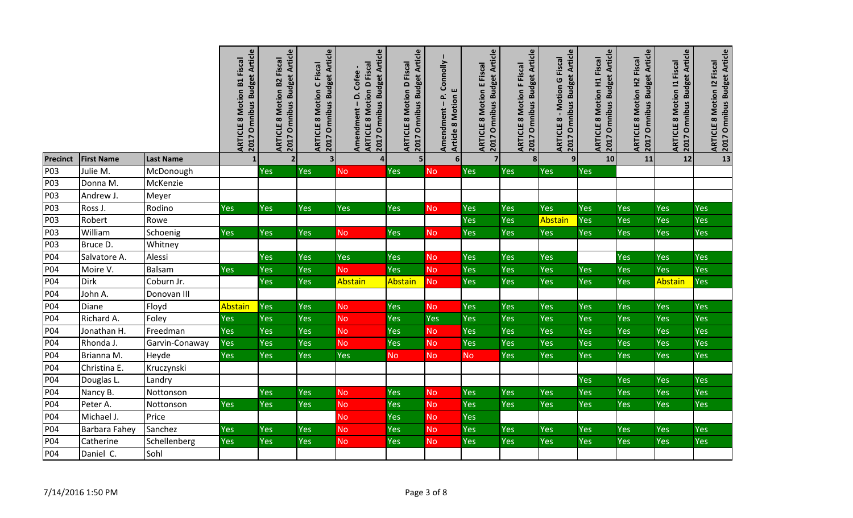|                 |                   |                  | 2017 Omnibus Budget Article<br>Fiscal<br><b>ARTICLE 8 Motion B1</b> | 2017 Omnibus Budget Article<br><b>ARTICLE 8 Motion B2 Fiscal</b> | 2017 Omnibus Budget Article<br><b>ARTICLE 8 Motion C Fiscal</b> | 2017 Omnibus Budget Article<br><b>ARTICLE 8 Motion D Fiscal</b><br>Amendment - D. Cofee- | 2017 Omnibus Budget Article<br><b>ARTICLE 8 Motion D Fiscal</b> | Connolly<br>ш<br>$\vec{\mathbf{r}}$<br><b>Article 8 Motion</b><br>$\overline{1}$<br>Amendment | 2017 Omnibus Budget Article<br><b>ARTICLE 8 Motion E Fiscal</b> | 2017 Omnibus Budget Article<br><b>ARTICLE 8 Motion F Fiscal</b> | 2017 Omnibus Budget Article<br><b>ARTICLE 8 - Motion G Fiscal</b> | 2017 Omnibus Budget Article<br><b>ARTICLE 8 Motion H1 Fiscal</b> | 2017 Omnibus Budget Article<br><b>ARTICLE 8 Motion H2 Fiscal</b> | Omnibus Budget Article<br><b>ARTICLE 8 Motion 11 Fiscal</b><br>2017 | 2017 Omnibus Budget Article<br><b>ARTICLE 8 Motion 12 Fiscal</b> |
|-----------------|-------------------|------------------|---------------------------------------------------------------------|------------------------------------------------------------------|-----------------------------------------------------------------|------------------------------------------------------------------------------------------|-----------------------------------------------------------------|-----------------------------------------------------------------------------------------------|-----------------------------------------------------------------|-----------------------------------------------------------------|-------------------------------------------------------------------|------------------------------------------------------------------|------------------------------------------------------------------|---------------------------------------------------------------------|------------------------------------------------------------------|
| <b>Precinct</b> | <b>First Name</b> | <b>Last Name</b> |                                                                     | $\overline{2}$                                                   | $\overline{\mathbf{3}}$                                         | 4                                                                                        | 5 <sub>l</sub>                                                  | $6\phantom{1}$                                                                                | $\overline{7}$                                                  | $\mathbf{8}$                                                    | 9 <sup>1</sup>                                                    | 10                                                               | 11                                                               | 12                                                                  | $\overline{13}$                                                  |
| P03             | Julie M.          | McDonough        |                                                                     | Yes                                                              | Yes                                                             | <b>No</b>                                                                                | Yes                                                             | <b>No</b>                                                                                     | <b>Yes</b>                                                      | Yes                                                             | Yes                                                               | Yes                                                              |                                                                  |                                                                     |                                                                  |
| P03             | Donna M.          | McKenzie         |                                                                     |                                                                  |                                                                 |                                                                                          |                                                                 |                                                                                               |                                                                 |                                                                 |                                                                   |                                                                  |                                                                  |                                                                     |                                                                  |
| P03             | Andrew J.         | Meyer            |                                                                     |                                                                  |                                                                 |                                                                                          |                                                                 |                                                                                               |                                                                 |                                                                 |                                                                   |                                                                  |                                                                  |                                                                     |                                                                  |
| P03<br>P03      | Ross J.<br>Robert | Rodino<br>Rowe   | Yes                                                                 | Yes                                                              | Yes                                                             | Yes                                                                                      | Yes                                                             | <b>No</b>                                                                                     | Yes<br>Yes                                                      | Yes<br>Yes                                                      | Yes<br><b>Abstain</b>                                             | Yes<br>Yes                                                       | Yes<br>Yes                                                       | Yes<br>Yes                                                          | Yes<br>Yes                                                       |
| P03             | William           | Schoenig         | Yes                                                                 | <b>Yes</b>                                                       | Yes                                                             | <b>No</b>                                                                                | Yes                                                             | <b>No</b>                                                                                     | Yes                                                             | <b>Yes</b>                                                      | Yes                                                               | Yes                                                              | Yes                                                              | Yes                                                                 | Yes                                                              |
| P03             | Bruce D.          | Whitney          |                                                                     |                                                                  |                                                                 |                                                                                          |                                                                 |                                                                                               |                                                                 |                                                                 |                                                                   |                                                                  |                                                                  |                                                                     |                                                                  |
| P04             | Salvatore A.      | Alessi           |                                                                     | <b>Yes</b>                                                       | <b>Yes</b>                                                      | Yes                                                                                      | Yes                                                             | <b>No</b>                                                                                     | <b>Yes</b>                                                      | <b>Yes</b>                                                      | Yes                                                               |                                                                  | Yes                                                              | Yes                                                                 | <b>Yes</b>                                                       |
| P04             | Moire V.          | <b>Balsam</b>    | Yes                                                                 | Yes                                                              | Yes                                                             | <b>No</b>                                                                                | Yes                                                             | <b>No</b>                                                                                     | Yes                                                             | Yes                                                             | Yes                                                               | Yes                                                              | Yes                                                              | Yes                                                                 | Yes                                                              |
| P04             | <b>Dirk</b>       | Coburn Jr.       |                                                                     | Yes                                                              | Yes                                                             | Abstain                                                                                  | <b>Abstain</b>                                                  | <b>No</b>                                                                                     | Yes                                                             | Yes                                                             | Yes                                                               | Yes                                                              | Yes                                                              | Abstain                                                             | <b>Yes</b>                                                       |
| P04             | John A.           | Donovan III      |                                                                     |                                                                  |                                                                 |                                                                                          |                                                                 |                                                                                               |                                                                 |                                                                 |                                                                   |                                                                  |                                                                  |                                                                     |                                                                  |
| P04             | Diane             | Floyd            | Abstain                                                             | Yes                                                              | Yes                                                             | <b>No</b>                                                                                | Yes                                                             | <b>No</b>                                                                                     | Yes                                                             | Yes                                                             | Yes                                                               | Yes                                                              | Yes                                                              | Yes                                                                 | <b>Yes</b>                                                       |
| P04             | Richard A.        | Foley            | Yes                                                                 | Yes                                                              | Yes                                                             | No                                                                                       | Yes                                                             | Yes                                                                                           | Yes                                                             | Yes                                                             | Yes                                                               | Yes                                                              | Yes                                                              | Yes                                                                 | Yes                                                              |
| P04             | Jonathan H.       | Freedman         | Yes                                                                 | Yes                                                              | Yes                                                             | No                                                                                       | Yes                                                             | <b>No</b>                                                                                     | Yes                                                             | Yes                                                             | Yes                                                               | Yes                                                              | Yes                                                              | Yes                                                                 | Yes                                                              |
| P04             | Rhonda J.         | Garvin-Conaway   | Yes                                                                 | Yes                                                              | Yes                                                             | <b>No</b>                                                                                | Yes                                                             | No                                                                                            | Yes                                                             | Yes                                                             | Yes                                                               | Yes                                                              | Yes                                                              | Yes                                                                 | Yes                                                              |
| P04             | Brianna M.        | Heyde            | Yes                                                                 | Yes                                                              | Yes                                                             | Yes                                                                                      | <b>No</b>                                                       | <b>No</b>                                                                                     | <b>No</b>                                                       | Yes                                                             | Yes                                                               | Yes                                                              | Yes                                                              | Yes                                                                 | Yes                                                              |
| P04             | Christina E.      | Kruczynski       |                                                                     |                                                                  |                                                                 |                                                                                          |                                                                 |                                                                                               |                                                                 |                                                                 |                                                                   |                                                                  |                                                                  |                                                                     |                                                                  |
| P04             | Douglas L.        | Landry           |                                                                     |                                                                  |                                                                 |                                                                                          |                                                                 |                                                                                               |                                                                 |                                                                 |                                                                   | Yes                                                              | Yes                                                              | Yes                                                                 | <b>Yes</b>                                                       |
| P04             | Nancy B.          | Nottonson        |                                                                     | Yes                                                              | Yes                                                             | <b>No</b>                                                                                | Yes                                                             | No                                                                                            | Yes                                                             | Yes                                                             | Yes                                                               | Yes                                                              | Yes                                                              | Yes                                                                 | Yes                                                              |
| P04             | Peter A.          | Nottonson        | Yes                                                                 | Yes                                                              | Yes                                                             | No                                                                                       | Yes                                                             | <b>No</b>                                                                                     | Yes                                                             | <b>Yes</b>                                                      | Yes                                                               | Yes                                                              | Yes                                                              | Yes                                                                 | <b>Yes</b>                                                       |
| P04             | Michael J.        | Price            |                                                                     |                                                                  |                                                                 | No                                                                                       | Yes                                                             | <b>No</b>                                                                                     | Yes                                                             |                                                                 |                                                                   |                                                                  |                                                                  |                                                                     |                                                                  |
| P04             | Barbara Fahey     | Sanchez          | Yes                                                                 | Yes                                                              | Yes                                                             | No                                                                                       | Yes                                                             | <b>No</b>                                                                                     | Yes                                                             | Yes                                                             | Yes                                                               | Yes                                                              | Yes                                                              | Yes                                                                 | Yes                                                              |
| P04             | Catherine         | Schellenberg     | Yes                                                                 | Yes                                                              | Yes                                                             | <b>No</b>                                                                                | Yes                                                             | <b>No</b>                                                                                     | Yes                                                             | Yes                                                             | Yes                                                               | Yes                                                              | Yes                                                              | Yes                                                                 | Yes                                                              |
| P04             | Daniel C.         | Sohl             |                                                                     |                                                                  |                                                                 |                                                                                          |                                                                 |                                                                                               |                                                                 |                                                                 |                                                                   |                                                                  |                                                                  |                                                                     |                                                                  |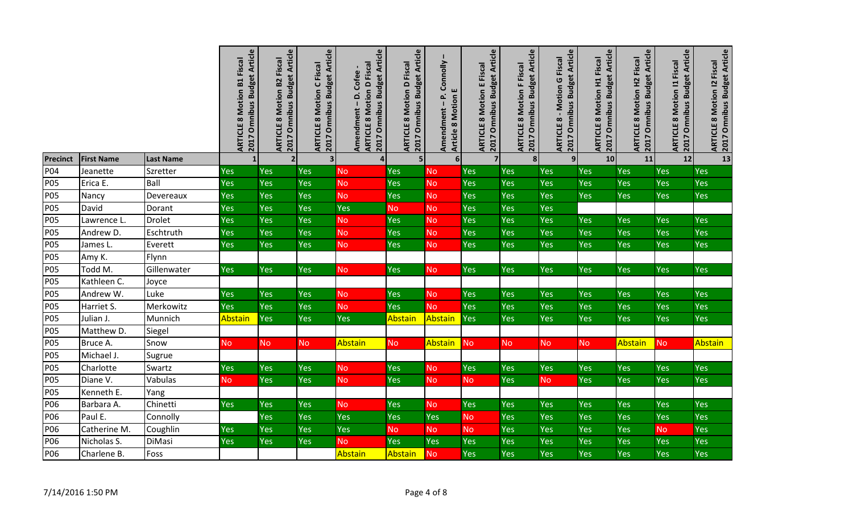|                          |                       |                   | 2017 Omnibus Budget Article<br>Fiscal<br><b>ARTICLE 8 Motion B1</b> | 2017 Omnibus Budget Article<br><b>ARTICLE 8 Motion B2 Fiscal</b> | 2017 Omnibus Budget Article<br><b>ARTICLE 8 Motion C Fiscal</b> | 2017 Omnibus Budget Article<br><b>ARTICLE 8 Motion D Fiscal</b><br>Amendment - D. Cofee- | 2017 Omnibus Budget Article<br><b>ARTICLE 8 Motion D Fiscal</b> | Connolly<br>ш<br>$\frac{a^2}{l}$<br><b>Article 8 Motion</b><br>Amendment | 2017 Omnibus Budget Article<br><b>ARTICLE 8 Motion E Fiscal</b> | 2017 Omnibus Budget Article<br><b>ARTICLE 8 Motion F Fiscal</b> | 2017 Omnibus Budget Article<br><b>ARTICLE 8 - Motion G Fiscal</b> | 2017 Omnibus Budget Article<br><b>ARTICLE 8 Motion H1 Fiscal</b> | 2017 Omnibus Budget Article<br><b>ARTICLE 8 Motion H2 Fiscal</b> | <b>Omnibus Budget Article</b><br><b>ARTICLE 8 Motion 11 Fiscal</b><br><b>ZO17</b> | ARTICLE 8 Motion 12 Fiscal<br>2017 Omnibus Budget Article |
|--------------------------|-----------------------|-------------------|---------------------------------------------------------------------|------------------------------------------------------------------|-----------------------------------------------------------------|------------------------------------------------------------------------------------------|-----------------------------------------------------------------|--------------------------------------------------------------------------|-----------------------------------------------------------------|-----------------------------------------------------------------|-------------------------------------------------------------------|------------------------------------------------------------------|------------------------------------------------------------------|-----------------------------------------------------------------------------------|-----------------------------------------------------------|
| <b>Precinct</b>          | <b>First Name</b>     | <b>Last Name</b>  |                                                                     | $\overline{2}$                                                   | $\overline{\mathbf{3}}$                                         | $\overline{\mathbf{a}}$                                                                  | 5 <sup>1</sup>                                                  | $6\phantom{1}$                                                           | $\overline{\mathbf{z}}$                                         | 8                                                               | 9 <sup>1</sup>                                                    | 10                                                               | 11                                                               | 12                                                                                | 13                                                        |
| P04                      | Jeanette              | Szretter          | Yes                                                                 | Yes                                                              | Yes                                                             | No                                                                                       | Yes                                                             | <b>No</b>                                                                | Yes                                                             | Yes                                                             | Yes                                                               | Yes                                                              | Yes                                                              | Yes                                                                               | Yes                                                       |
| <b>P05</b>               | Erica E.              | Ball              | Yes                                                                 | Yes                                                              | Yes                                                             | No                                                                                       | Yes                                                             | No                                                                       | Yes                                                             | Yes                                                             | Yes                                                               | Yes                                                              | Yes                                                              | Yes                                                                               | Yes                                                       |
| <b>P05</b>               | Nancy                 | Devereaux         | Yes                                                                 | Yes                                                              | Yes                                                             | No                                                                                       | Yes                                                             | No                                                                       | Yes                                                             | Yes                                                             | Yes                                                               | Yes                                                              | Yes                                                              | Yes                                                                               | Yes                                                       |
| <b>P05</b>               | David                 | Dorant            | Yes                                                                 | Yes                                                              | Yes                                                             | Yes                                                                                      | <b>No</b>                                                       | <b>No</b>                                                                | Yes                                                             | Yes                                                             | Yes                                                               |                                                                  |                                                                  |                                                                                   |                                                           |
| <b>P05</b>               | Lawrence L.           | <b>Drolet</b>     | Yes                                                                 | Yes                                                              | Yes                                                             | <b>No</b>                                                                                | Yes                                                             | <b>No</b>                                                                | Yes                                                             | Yes                                                             | Yes                                                               | Yes                                                              | Yes                                                              | Yes                                                                               | <b>Yes</b>                                                |
| <b>P05</b>               | Andrew D.             | Eschtruth         | Yes                                                                 | Yes                                                              | Yes                                                             | <b>No</b>                                                                                | Yes                                                             | <b>No</b>                                                                | Yes                                                             | Yes                                                             | Yes                                                               | Yes                                                              | Yes                                                              | Yes                                                                               | Yes                                                       |
| <b>P05</b>               | James L.              | Everett           | Yes                                                                 | Yes                                                              | Yes                                                             | <b>No</b>                                                                                | Yes                                                             | <b>No</b>                                                                | Yes                                                             | Yes                                                             | Yes                                                               | Yes                                                              | Yes                                                              | Yes                                                                               | Yes                                                       |
| <b>P05</b>               | Amy K.                | Flynn             |                                                                     |                                                                  |                                                                 |                                                                                          |                                                                 |                                                                          |                                                                 |                                                                 |                                                                   |                                                                  |                                                                  |                                                                                   |                                                           |
| <b>P05</b>               | Todd M.               | Gillenwater       | <b>Yes</b>                                                          | Yes                                                              | <b>Yes</b>                                                      | <b>No</b>                                                                                | Yes                                                             | <b>No</b>                                                                | Yes                                                             | <b>Yes</b>                                                      | Yes                                                               | Yes                                                              | Yes                                                              | Yes                                                                               | Yes                                                       |
| <b>P05</b>               | Kathleen C.           | Joyce             |                                                                     |                                                                  |                                                                 |                                                                                          |                                                                 |                                                                          |                                                                 |                                                                 |                                                                   |                                                                  |                                                                  |                                                                                   |                                                           |
| <b>P05</b>               | Andrew W.             | Luke              | Yes                                                                 | Yes                                                              | Yes                                                             | <b>No</b>                                                                                | Yes                                                             | <b>No</b>                                                                | Yes                                                             | Yes                                                             | Yes                                                               | <b>Yes</b>                                                       | Yes                                                              | Yes                                                                               | <b>Yes</b>                                                |
| <b>P05</b>               | Harriet S.            | Merkowitz         | Yes                                                                 | Yes                                                              | Yes                                                             | <b>No</b>                                                                                | Yes                                                             | <b>No</b>                                                                | Yes                                                             | Yes                                                             | Yes                                                               | Yes                                                              | Yes                                                              | Yes                                                                               | Yes                                                       |
| <b>P05</b>               | Julian J.             | Munnich           | Abstain                                                             | Yes                                                              | Yes                                                             | Yes                                                                                      | <b>Abstain</b>                                                  | Abstain                                                                  | Yes                                                             | Yes                                                             | Yes                                                               | Yes                                                              | Yes                                                              | Yes                                                                               | Yes                                                       |
| <b>P05</b>               | Matthew D.            | Siegel            |                                                                     |                                                                  |                                                                 |                                                                                          |                                                                 |                                                                          |                                                                 |                                                                 |                                                                   |                                                                  |                                                                  |                                                                                   |                                                           |
| <b>P05</b>               | Bruce A.              | Snow              | No                                                                  | <b>No</b>                                                        | No                                                              | Abstain                                                                                  | No                                                              | Abstain                                                                  | No                                                              | <b>No</b>                                                       | <b>No</b>                                                         | <b>No</b>                                                        | Abstain                                                          | <b>No</b>                                                                         | Abstain                                                   |
| <b>P05</b><br><b>P05</b> | Michael J.            | Sugrue            | Yes                                                                 |                                                                  | Yes                                                             |                                                                                          |                                                                 |                                                                          |                                                                 |                                                                 | Yes                                                               | Yes                                                              | Yes                                                              |                                                                                   | Yes                                                       |
| <b>P05</b>               | Charlotte<br>Diane V. | Swartz<br>Vabulas |                                                                     | Yes<br>Yes                                                       | Yes                                                             | <b>No</b><br><b>No</b>                                                                   | Yes<br>Yes                                                      | <b>No</b>                                                                | Yes                                                             | Yes<br>Yes                                                      | <b>No</b>                                                         | Yes                                                              | Yes                                                              | Yes<br>Yes                                                                        | <b>Yes</b>                                                |
| <b>P05</b>               | Kenneth E.            | Yang              | <b>No</b>                                                           |                                                                  |                                                                 |                                                                                          |                                                                 | <b>No</b>                                                                | No                                                              |                                                                 |                                                                   |                                                                  |                                                                  |                                                                                   |                                                           |
| P06                      | Barbara A.            | Chinetti          | Yes                                                                 | Yes                                                              | Yes                                                             | <b>No</b>                                                                                | Yes                                                             | <b>No</b>                                                                | Yes                                                             | Yes                                                             | Yes                                                               | Yes                                                              | Yes                                                              | Yes                                                                               | Yes                                                       |
| P06                      | Paul E.               | Connolly          |                                                                     | Yes                                                              | Yes                                                             | Yes                                                                                      | Yes                                                             | Yes                                                                      | No                                                              | Yes                                                             | Yes                                                               | Yes                                                              | Yes                                                              | Yes                                                                               | Yes                                                       |
| P06                      | Catherine M.          | Coughlin          | Yes                                                                 | Yes                                                              | Yes                                                             | Yes                                                                                      | <b>No</b>                                                       | <b>No</b>                                                                | No                                                              | Yes                                                             | Yes                                                               | Yes                                                              | Yes                                                              | <b>No</b>                                                                         | Yes                                                       |
| P06                      | Nicholas S.           | <b>DiMasi</b>     | Yes                                                                 | Yes                                                              | Yes                                                             | <b>No</b>                                                                                | Yes                                                             | Yes                                                                      | Yes                                                             | Yes                                                             | Yes                                                               | Yes                                                              | Yes                                                              | Yes                                                                               | Yes                                                       |
| P06                      | Charlene B.           | Foss              |                                                                     |                                                                  |                                                                 | Abstain                                                                                  | Abstain                                                         | <b>No</b>                                                                | Yes                                                             | Yes                                                             | Yes                                                               | Yes                                                              | Yes                                                              | Yes                                                                               | Yes                                                       |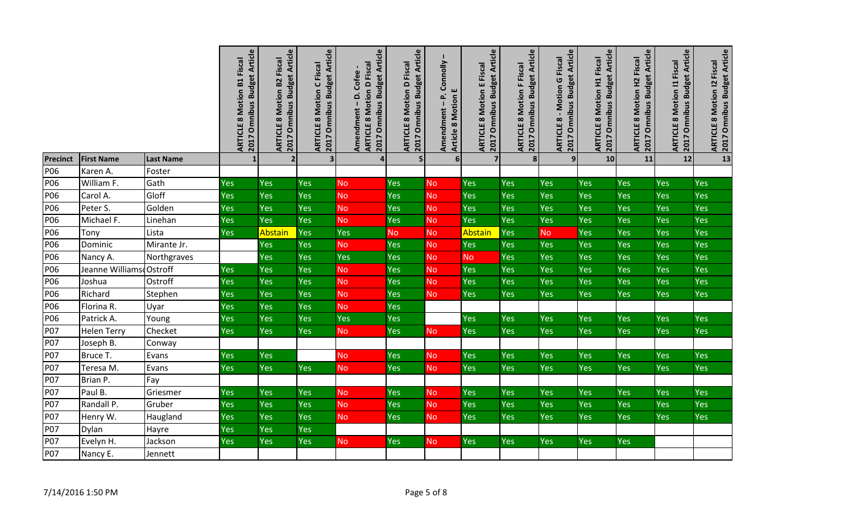|                 |                         |                  | 2017 Omnibus Budget Article<br>Fiscal<br><b>ARTICLE 8 Motion B1</b> | 2017 Omnibus Budget Article<br><b>ARTICLE 8 Motion B2 Fiscal</b> | 2017 Omnibus Budget Article<br><b>ARTICLE 8 Motion C Fiscal</b> | 2017 Omnibus Budget Article<br><b>ARTICLE 8 Motion D Fiscal</b><br>Amendment - D. Cofee- | 2017 Omnibus Budget Article<br><b>ARTICLE 8 Motion D Fiscal</b> | Connolly<br>ш<br>غه<br><b>Article 8 Motion</b><br>$\overline{1}$<br>Amendment | 2017 Omnibus Budget Article<br><b>ARTICLE 8 Motion E Fiscal</b> | 2017 Omnibus Budget Article<br><b>ARTICLE 8 Motion F Fiscal</b> | 2017 Omnibus Budget Article<br><b>ARTICLE 8 - Motion G Fiscal</b> | 2017 Omnibus Budget Article<br><b>ARTICLE 8 Motion H1 Fiscal</b> | 2017 Omnibus Budget Article<br><b>ARTICLE 8 Motion H2 Fiscal</b> | <b>Omnibus Budget Article</b><br><b>ARTICLE 8 Motion 11 Fiscal</b><br>2017 | 2017 Omnibus Budget Article<br><b>ARTICLE 8 Motion 12 Fiscal</b> |
|-----------------|-------------------------|------------------|---------------------------------------------------------------------|------------------------------------------------------------------|-----------------------------------------------------------------|------------------------------------------------------------------------------------------|-----------------------------------------------------------------|-------------------------------------------------------------------------------|-----------------------------------------------------------------|-----------------------------------------------------------------|-------------------------------------------------------------------|------------------------------------------------------------------|------------------------------------------------------------------|----------------------------------------------------------------------------|------------------------------------------------------------------|
| <b>Precinct</b> | <b>First Name</b>       | <b>Last Name</b> |                                                                     | 2 <sub>l</sub>                                                   | $\overline{\mathbf{3}}$                                         | $\overline{4}$                                                                           | 5 <sub>l</sub>                                                  | $6 \overline{6}$                                                              | $\overline{7}$                                                  | 8                                                               | 9 <sub>l</sub>                                                    | 10                                                               | 11                                                               | 12                                                                         | 13                                                               |
| P06             | Karen A.                | Foster           |                                                                     |                                                                  |                                                                 |                                                                                          |                                                                 |                                                                               |                                                                 |                                                                 |                                                                   |                                                                  |                                                                  |                                                                            |                                                                  |
| P06             | William F.              | Gath             | Yes                                                                 | Yes                                                              | Yes                                                             | No                                                                                       | Yes                                                             | <b>No</b>                                                                     | Yes                                                             | Yes                                                             | Yes                                                               | Yes                                                              | Yes                                                              | Yes                                                                        | <b>Yes</b>                                                       |
| P06             | Carol A.                | Gloff            | Yes                                                                 | Yes                                                              | Yes                                                             | <b>No</b>                                                                                | Yes                                                             | <b>No</b>                                                                     | Yes                                                             | Yes                                                             | Yes                                                               | Yes                                                              | Yes                                                              | Yes                                                                        | <b>Yes</b>                                                       |
| P06             | Peter S.                | Golden           | Yes                                                                 | Yes                                                              | Yes                                                             | No                                                                                       | Yes                                                             | <b>No</b>                                                                     | Yes                                                             | Yes                                                             | Yes                                                               | Yes                                                              | Yes                                                              | Yes                                                                        | <b>Yes</b>                                                       |
| P06             | Michael F.              | Linehan          | Yes                                                                 | Yes                                                              | Yes                                                             | <b>No</b>                                                                                | Yes                                                             | <b>No</b>                                                                     | Yes                                                             | Yes                                                             | Yes                                                               | Yes                                                              | Yes                                                              | Yes                                                                        | Yes                                                              |
| P06             | Tony                    | Lista            | Yes                                                                 | Abstain                                                          | Yes                                                             | Yes                                                                                      | <b>No</b>                                                       | <b>No</b>                                                                     | Abstain                                                         | Yes                                                             | <b>No</b>                                                         | Yes                                                              | Yes                                                              | Yes                                                                        | Yes                                                              |
| P06             | Dominic                 | Mirante Jr.      |                                                                     | Yes                                                              | Yes                                                             | <b>No</b>                                                                                | Yes                                                             | No                                                                            | Yes                                                             | Yes                                                             | Yes                                                               | Yes                                                              | Yes                                                              | Yes                                                                        | Yes                                                              |
| P06             | Nancy A.                | Northgraves      |                                                                     | Yes                                                              | Yes                                                             | Yes                                                                                      | Yes                                                             | No                                                                            | <b>No</b>                                                       | Yes                                                             | Yes                                                               | Yes                                                              | Yes                                                              | Yes                                                                        | Yes                                                              |
| P06             | Jeanne WilliamsdOstroff |                  | Yes                                                                 | Yes                                                              | Yes                                                             | <b>No</b>                                                                                | Yes                                                             | <b>No</b>                                                                     | Yes                                                             | Yes                                                             | Yes                                                               | Yes                                                              | Yes                                                              | Yes                                                                        | Yes                                                              |
| P06             | Joshua                  | Ostroff          | Yes                                                                 | Yes                                                              | Yes                                                             | <b>No</b>                                                                                | Yes                                                             | <b>No</b>                                                                     | Yes                                                             | Yes                                                             | Yes                                                               | Yes                                                              | Yes                                                              | Yes                                                                        | Yes                                                              |
| P06             | Richard                 | Stephen          | Yes                                                                 | Yes                                                              | Yes                                                             | <b>No</b>                                                                                | Yes                                                             | <b>No</b>                                                                     | Yes                                                             | Yes                                                             | Yes                                                               | <b>Yes</b>                                                       | Yes                                                              | <b>Yes</b>                                                                 | Yes                                                              |
| P06             | Florina R.              | Uyar             | Yes                                                                 | Yes                                                              | Yes                                                             | <b>No</b>                                                                                | Yes                                                             |                                                                               |                                                                 |                                                                 |                                                                   |                                                                  |                                                                  |                                                                            |                                                                  |
| P06             | Patrick A.              | Young            | Yes                                                                 | Yes                                                              | Yes                                                             | Yes                                                                                      | Yes                                                             |                                                                               | Yes                                                             | Yes                                                             | Yes                                                               | Yes                                                              | Yes                                                              | Yes                                                                        | Yes                                                              |
| <b>P07</b>      | <b>Helen Terry</b>      | Checket          | Yes                                                                 | Yes                                                              | Yes                                                             | <b>No</b>                                                                                | Yes                                                             | <b>No</b>                                                                     | Yes                                                             | Yes                                                             | Yes                                                               | Yes                                                              | Yes                                                              | Yes                                                                        | Yes                                                              |
| <b>P07</b>      | Joseph B.               | Conway           |                                                                     |                                                                  |                                                                 |                                                                                          |                                                                 |                                                                               |                                                                 |                                                                 |                                                                   |                                                                  |                                                                  |                                                                            |                                                                  |
| <b>P07</b>      | Bruce T.                | Evans            | Yes                                                                 | Yes                                                              |                                                                 | <b>No</b>                                                                                | Yes                                                             | <b>No</b>                                                                     | Yes                                                             | Yes                                                             | Yes                                                               | <b>Yes</b>                                                       | Yes                                                              | Yes                                                                        | Yes                                                              |
| P07             | Teresa M.               | Evans            | Yes                                                                 | Yes                                                              | Yes                                                             | <b>No</b>                                                                                | Yes                                                             | <b>No</b>                                                                     | Yes                                                             | Yes                                                             | Yes                                                               | Yes                                                              | Yes                                                              | Yes                                                                        | Yes                                                              |
| <b>P07</b>      | Brian P.                | Fay              |                                                                     |                                                                  |                                                                 |                                                                                          |                                                                 |                                                                               |                                                                 |                                                                 |                                                                   |                                                                  |                                                                  |                                                                            |                                                                  |
| <b>P07</b>      | Paul B.                 | Griesmer         | Yes                                                                 | Yes                                                              | <b>Yes</b>                                                      | <b>No</b>                                                                                | Yes                                                             | <b>No</b>                                                                     | <b>Yes</b>                                                      | <b>Yes</b>                                                      | Yes                                                               | Yes                                                              | Yes                                                              | Yes                                                                        | <b>Yes</b>                                                       |
| P07             | Randall P.              | Gruber           | Yes                                                                 | Yes                                                              | Yes                                                             | <b>No</b>                                                                                | Yes                                                             | <b>No</b>                                                                     | Yes                                                             | Yes                                                             | Yes                                                               | Yes                                                              | Yes                                                              | Yes                                                                        | Yes                                                              |
| <b>P07</b>      | Henry W.                | Haugland         | Yes                                                                 | Yes                                                              | Yes                                                             | <b>No</b>                                                                                | Yes                                                             | <b>No</b>                                                                     | Yes                                                             | Yes                                                             | Yes                                                               | <b>Yes</b>                                                       | Yes                                                              | <b>Yes</b>                                                                 | Yes                                                              |
| P07             | Dylan                   | Hayre            | Yes                                                                 | Yes                                                              | Yes                                                             |                                                                                          |                                                                 |                                                                               |                                                                 |                                                                 |                                                                   |                                                                  |                                                                  |                                                                            |                                                                  |
| P07             | Evelyn H.               | Jackson          | Yes                                                                 | Yes                                                              | Yes                                                             | <b>No</b>                                                                                | <b>Yes</b>                                                      | <b>No</b>                                                                     | Yes                                                             | Yes                                                             | Yes                                                               | <b>Yes</b>                                                       | <b>Yes</b>                                                       |                                                                            |                                                                  |
| P07             | Nancy E.                | Jennett          |                                                                     |                                                                  |                                                                 |                                                                                          |                                                                 |                                                                               |                                                                 |                                                                 |                                                                   |                                                                  |                                                                  |                                                                            |                                                                  |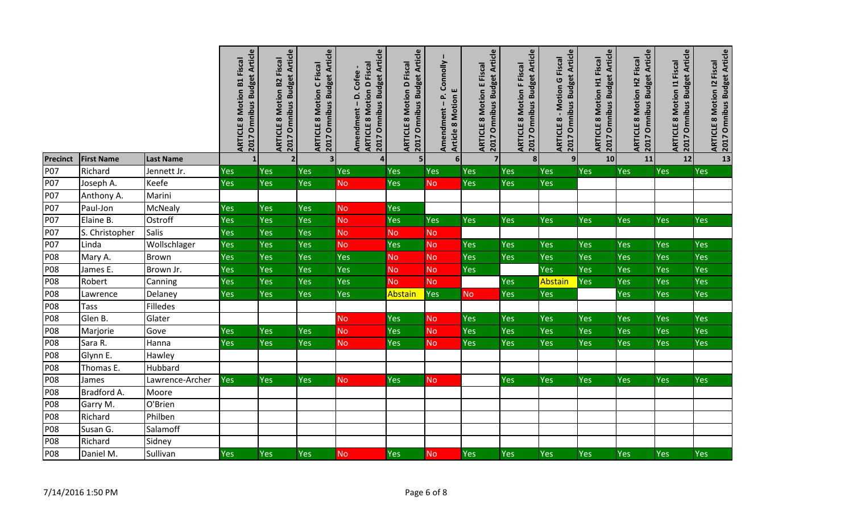|            |                   |                  | 2017 Omnibus Budget Article<br>Fiscal<br><b>ARTICLE 8 Motion B1</b> | 2017 Omnibus Budget Article<br><b>ARTICLE 8 Motion B2 Fiscal</b> | 2017 Omnibus Budget Article<br><b>ARTICLE 8 Motion C Fiscal</b> | 2017 Omnibus Budget Article<br><b>ARTICLE 8 Motion D Fiscal</b><br>Amendment - D. Cofee- | 2017 Omnibus Budget Article<br><b>ARTICLE 8 Motion D Fiscal</b> | Amendment - P. Connolly<br>ш<br><b>Article 8 Motion</b> | 2017 Omnibus Budget Article<br><b>ARTICLE 8 Motion E Fiscal</b> | 2017 Omnibus Budget Article<br><b>ARTICLE 8 Motion F Fiscal</b> | 2017 Omnibus Budget Article<br><b>ARTICLE 8 - Motion G Fiscal</b> | 2017 Omnibus Budget Article<br><b>ARTICLE 8 Motion H1 Fiscal</b> | 2017 Omnibus Budget Article<br><b>ARTICLE 8 Motion H2 Fiscal</b> | <b>Omnibus Budget Article</b><br><b>ARTICLE 8 Motion 11 Fiscal</b><br><b>ZO17</b> | <b>ARTICLE 8 Motion I2 Fiscal<br/>2017 Omnibus Budget Article</b> |
|------------|-------------------|------------------|---------------------------------------------------------------------|------------------------------------------------------------------|-----------------------------------------------------------------|------------------------------------------------------------------------------------------|-----------------------------------------------------------------|---------------------------------------------------------|-----------------------------------------------------------------|-----------------------------------------------------------------|-------------------------------------------------------------------|------------------------------------------------------------------|------------------------------------------------------------------|-----------------------------------------------------------------------------------|-------------------------------------------------------------------|
| Precinct   | <b>First Name</b> | <b>Last Name</b> |                                                                     | $\overline{2}$                                                   | $\overline{\mathbf{3}}$                                         | $\overline{\mathbf{4}}$                                                                  | 5 <sub>l</sub>                                                  | $6 \overline{6}$                                        | $\overline{7}$                                                  | 8                                                               | 9 <sub>l</sub>                                                    | 10                                                               | 11                                                               | 12                                                                                | $\overline{\mathbf{13}}$                                          |
| <b>P07</b> | Richard           | Jennett Jr.      | Yes                                                                 | Yes                                                              | Yes                                                             | Yes                                                                                      | Yes                                                             | Yes                                                     | Yes                                                             | Yes                                                             | Yes                                                               | Yes                                                              | Yes                                                              | Yes                                                                               | Yes                                                               |
| <b>P07</b> | Joseph A.         | Keefe            | Yes                                                                 | Yes                                                              | Yes                                                             | No                                                                                       | Yes                                                             | <b>No</b>                                               | Yes                                                             | Yes                                                             | Yes                                                               |                                                                  |                                                                  |                                                                                   |                                                                   |
| <b>P07</b> | Anthony A.        | Marini           |                                                                     |                                                                  |                                                                 |                                                                                          |                                                                 |                                                         |                                                                 |                                                                 |                                                                   |                                                                  |                                                                  |                                                                                   |                                                                   |
| <b>P07</b> | Paul-Jon          | McNealy          | Yes                                                                 | Yes                                                              | Yes                                                             | <b>No</b>                                                                                | Yes                                                             |                                                         |                                                                 |                                                                 |                                                                   |                                                                  |                                                                  |                                                                                   |                                                                   |
| <b>P07</b> | Elaine B.         | Ostroff          | Yes                                                                 | Yes                                                              | Yes                                                             | <b>No</b>                                                                                | Yes                                                             | Yes                                                     | <b>Yes</b>                                                      | Yes                                                             | Yes                                                               | Yes                                                              | Yes                                                              | Yes                                                                               | <b>Yes</b>                                                        |
| <b>P07</b> | S. Christopher    | Salis            | Yes                                                                 | Yes                                                              | Yes                                                             | <b>No</b>                                                                                | <b>No</b>                                                       | <b>No</b>                                               |                                                                 |                                                                 |                                                                   |                                                                  |                                                                  |                                                                                   |                                                                   |
| <b>P07</b> | Linda             | Wollschlager     | Yes                                                                 | Yes                                                              | Yes                                                             | No                                                                                       | Yes                                                             | No                                                      | <b>Yes</b>                                                      | <b>Yes</b>                                                      | Yes                                                               | Yes                                                              | Yes                                                              | Yes                                                                               | Yes                                                               |
| <b>P08</b> | Mary A.           | <b>Brown</b>     | Yes                                                                 | Yes                                                              | Yes                                                             | Yes                                                                                      | <b>No</b>                                                       | <b>No</b>                                               | Yes                                                             | Yes                                                             | Yes                                                               | Yes                                                              | Yes                                                              | Yes                                                                               | Yes                                                               |
| <b>P08</b> | James E.          | Brown Jr.        | Yes                                                                 | Yes                                                              | Yes                                                             | Yes                                                                                      | No                                                              | <b>No</b>                                               | Yes                                                             |                                                                 | Yes                                                               | Yes                                                              | Yes                                                              | Yes                                                                               | Yes                                                               |
| <b>P08</b> | Robert            | Canning          | Yes                                                                 | Yes                                                              | Yes                                                             | Yes                                                                                      | <b>No</b>                                                       | <b>No</b>                                               |                                                                 | Yes                                                             | Abstain                                                           | Yes                                                              | Yes                                                              | Yes                                                                               | Yes                                                               |
| <b>P08</b> | Lawrence          | Delaney          | Yes                                                                 | Yes                                                              | Yes                                                             | Yes                                                                                      | Abstain                                                         | Yes                                                     | <b>No</b>                                                       | <b>Yes</b>                                                      | Yes                                                               |                                                                  | Yes                                                              | Yes                                                                               | Yes                                                               |
| <b>P08</b> | Tass              | <b>Filledes</b>  |                                                                     |                                                                  |                                                                 |                                                                                          |                                                                 |                                                         |                                                                 |                                                                 |                                                                   |                                                                  |                                                                  |                                                                                   |                                                                   |
| <b>P08</b> | Glen B.           | Glater           |                                                                     |                                                                  |                                                                 | No/                                                                                      | Yes                                                             | <b>No</b>                                               | Yes                                                             | Yes                                                             | Yes                                                               | Yes                                                              | Yes                                                              | Yes                                                                               | <b>Yes</b>                                                        |
| <b>P08</b> | Marjorie          | Gove             | Yes                                                                 | Yes                                                              | Yes                                                             | <b>No</b>                                                                                | Yes                                                             | <b>No</b>                                               | Yes                                                             | Yes                                                             | Yes                                                               | Yes                                                              | Yes                                                              | Yes                                                                               | Yes                                                               |
| <b>P08</b> | Sara R.           | Hanna            | Yes                                                                 | Yes                                                              | Yes                                                             | <b>No</b>                                                                                | Yes                                                             | <b>No</b>                                               | Yes                                                             | Yes                                                             | Yes                                                               | Yes                                                              | Yes                                                              | Yes                                                                               | Yes                                                               |
| <b>P08</b> | Glynn E.          | Hawley           |                                                                     |                                                                  |                                                                 |                                                                                          |                                                                 |                                                         |                                                                 |                                                                 |                                                                   |                                                                  |                                                                  |                                                                                   |                                                                   |
| <b>P08</b> | Thomas E.         | Hubbard          |                                                                     |                                                                  |                                                                 |                                                                                          |                                                                 |                                                         |                                                                 |                                                                 |                                                                   |                                                                  |                                                                  |                                                                                   |                                                                   |
| <b>P08</b> | James             | Lawrence-Archer  | Yes                                                                 | <b>Yes</b>                                                       | <b>Yes</b>                                                      | <b>No</b>                                                                                | <b>Yes</b>                                                      | No                                                      |                                                                 | <b>Yes</b>                                                      | Yes                                                               | <b>Yes</b>                                                       | Yes                                                              | <b>Yes</b>                                                                        | <b>Yes</b>                                                        |
| <b>P08</b> | Bradford A.       | Moore            |                                                                     |                                                                  |                                                                 |                                                                                          |                                                                 |                                                         |                                                                 |                                                                 |                                                                   |                                                                  |                                                                  |                                                                                   |                                                                   |
| <b>P08</b> | Garry M.          | O'Brien          |                                                                     |                                                                  |                                                                 |                                                                                          |                                                                 |                                                         |                                                                 |                                                                 |                                                                   |                                                                  |                                                                  |                                                                                   |                                                                   |
| <b>P08</b> | Richard           | Philben          |                                                                     |                                                                  |                                                                 |                                                                                          |                                                                 |                                                         |                                                                 |                                                                 |                                                                   |                                                                  |                                                                  |                                                                                   |                                                                   |
| <b>P08</b> | Susan G.          | Salamoff         |                                                                     |                                                                  |                                                                 |                                                                                          |                                                                 |                                                         |                                                                 |                                                                 |                                                                   |                                                                  |                                                                  |                                                                                   |                                                                   |
| <b>P08</b> | Richard           | Sidney           |                                                                     |                                                                  |                                                                 |                                                                                          |                                                                 |                                                         |                                                                 |                                                                 |                                                                   |                                                                  |                                                                  |                                                                                   |                                                                   |
| <b>P08</b> | Daniel M.         | Sullivan         | Yes                                                                 | Yes                                                              | Yes                                                             | <b>No</b>                                                                                | Yes                                                             | <b>No</b>                                               | Yes                                                             | Yes                                                             | Yes                                                               | Yes                                                              | Yes                                                              | Yes                                                                               | Yes                                                               |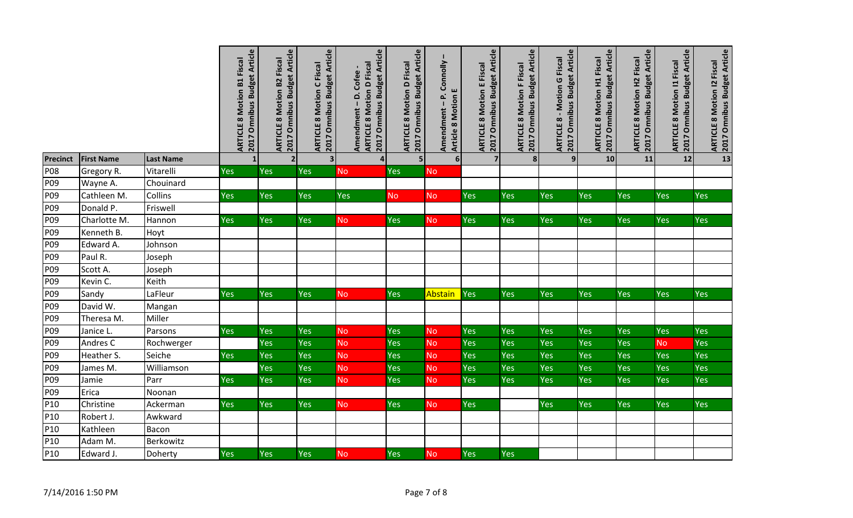|                 |                   |                  | 2017 Omnibus Budget Article<br><b>ARTICLE 8 Motion B1 Fiscal</b> | 2017 Omnibus Budget Article<br><b>ARTICLE 8 Motion B2 Fiscal</b> | 2017 Omnibus Budget Article<br><b>ARTICLE 8 Motion C Fiscal</b> | 2017 Omnibus Budget Article<br><b>ARTICLE 8 Motion D Fiscal</b><br>Amendment - D. Cofee- | 2017 Omnibus Budget Article<br><b>ARTICLE 8 Motion D Fiscal</b> | Amendment - P. Connolly<br><b>Article 8 Motion E</b> | 2017 Omnibus Budget Article<br><b>ARTICLE 8 Motion E Fiscal</b> | 2017 Omnibus Budget Article<br><b>ARTICLE 8 Motion F Fiscal</b> | 2017 Omnibus Budget Article<br><b>ARTICLE 8 - Motion G Fiscal</b> | 2017 Omnibus Budget Article<br><b>ARTICLE 8 Motion H1 Fiscal</b> | 2017 Omnibus Budget Article<br><b>ARTICLE 8 Motion H2 Fiscal</b> | <b>Omnibus Budget Article</b><br><b>ARTICLE 8 Motion 11 Fiscal</b><br><b>ZO17</b> | 2017 Omnibus Budget Article<br><b>ARTICLE 8 Motion 12 Fiscal</b> |
|-----------------|-------------------|------------------|------------------------------------------------------------------|------------------------------------------------------------------|-----------------------------------------------------------------|------------------------------------------------------------------------------------------|-----------------------------------------------------------------|------------------------------------------------------|-----------------------------------------------------------------|-----------------------------------------------------------------|-------------------------------------------------------------------|------------------------------------------------------------------|------------------------------------------------------------------|-----------------------------------------------------------------------------------|------------------------------------------------------------------|
| <b>Precinct</b> | <b>First Name</b> | <b>Last Name</b> | $\mathbf{1}$                                                     | $\overline{2}$                                                   | 3                                                               | $\overline{\mathbf{4}}$                                                                  | 5 <sub>l</sub>                                                  | 6 <sup>1</sup>                                       | $\overline{7}$                                                  | 8                                                               | 9                                                                 | 10                                                               | 11                                                               | 12                                                                                | $\overline{\mathbf{13}}$                                         |
| <b>P08</b>      | Gregory R.        | Vitarelli        | Yes                                                              | Yes                                                              | Yes                                                             | <b>No</b>                                                                                | Yes                                                             | <b>No</b>                                            |                                                                 |                                                                 |                                                                   |                                                                  |                                                                  |                                                                                   |                                                                  |
| P09             | Wayne A.          | Chouinard        |                                                                  |                                                                  |                                                                 |                                                                                          |                                                                 |                                                      |                                                                 |                                                                 |                                                                   |                                                                  |                                                                  |                                                                                   |                                                                  |
| P <sub>09</sub> | Cathleen M.       | Collins          | Yes                                                              | Yes                                                              | Yes                                                             | Yes                                                                                      | <b>No</b>                                                       | <b>No</b>                                            | Yes                                                             | Yes                                                             | Yes                                                               | Yes                                                              | Yes                                                              | Yes                                                                               | Yes                                                              |
| P09             | Donald P.         | Friswell         |                                                                  |                                                                  |                                                                 |                                                                                          |                                                                 |                                                      |                                                                 |                                                                 |                                                                   |                                                                  |                                                                  |                                                                                   |                                                                  |
| P09             | Charlotte M.      | Hannon           | Yes                                                              | <b>Yes</b>                                                       | Yes                                                             | <b>No</b>                                                                                | Yes                                                             | <b>No</b>                                            | Yes                                                             | <b>Yes</b>                                                      | <b>Yes</b>                                                        | Yes                                                              | Yes                                                              | <b>Yes</b>                                                                        | <b>Yes</b>                                                       |
| P09             | Kenneth B.        | Hoyt             |                                                                  |                                                                  |                                                                 |                                                                                          |                                                                 |                                                      |                                                                 |                                                                 |                                                                   |                                                                  |                                                                  |                                                                                   |                                                                  |
| P09             | Edward A.         | Johnson          |                                                                  |                                                                  |                                                                 |                                                                                          |                                                                 |                                                      |                                                                 |                                                                 |                                                                   |                                                                  |                                                                  |                                                                                   |                                                                  |
| P09             | Paul R.           | Joseph           |                                                                  |                                                                  |                                                                 |                                                                                          |                                                                 |                                                      |                                                                 |                                                                 |                                                                   |                                                                  |                                                                  |                                                                                   |                                                                  |
| P09             | Scott A.          | Joseph           |                                                                  |                                                                  |                                                                 |                                                                                          |                                                                 |                                                      |                                                                 |                                                                 |                                                                   |                                                                  |                                                                  |                                                                                   |                                                                  |
| P09             | Kevin C.          | Keith            |                                                                  |                                                                  |                                                                 |                                                                                          |                                                                 |                                                      |                                                                 |                                                                 |                                                                   |                                                                  |                                                                  |                                                                                   |                                                                  |
| P09             | Sandy             | LaFleur          | Yes                                                              | Yes                                                              | Yes                                                             | <b>No</b>                                                                                | <b>Yes</b>                                                      | Abstain                                              | <b>Yes</b>                                                      | <b>Yes</b>                                                      | Yes                                                               | Yes                                                              | Yes                                                              | Yes                                                                               | <b>Yes</b>                                                       |
| P09             | David W.          | Mangan           |                                                                  |                                                                  |                                                                 |                                                                                          |                                                                 |                                                      |                                                                 |                                                                 |                                                                   |                                                                  |                                                                  |                                                                                   |                                                                  |
| P09             | Theresa M.        | Miller           |                                                                  |                                                                  |                                                                 |                                                                                          |                                                                 |                                                      |                                                                 |                                                                 |                                                                   |                                                                  |                                                                  |                                                                                   |                                                                  |
| P09             | Janice L.         | Parsons          | Yes                                                              | Yes                                                              | Yes                                                             | <b>No</b>                                                                                | Yes                                                             | <b>No</b>                                            | Yes                                                             | Yes                                                             | Yes                                                               | Yes                                                              | <b>Yes</b>                                                       | <b>Yes</b>                                                                        | Yes                                                              |
| P09             | Andres C          | Rochwerger       |                                                                  | Yes                                                              | Yes                                                             | No                                                                                       | Yes                                                             | <b>No</b>                                            | Yes                                                             | Yes                                                             | Yes                                                               | Yes                                                              | Yes                                                              | <b>No</b>                                                                         | Yes                                                              |
| P09             | Heather S.        | Seiche           | Yes                                                              | Yes                                                              | Yes                                                             | No                                                                                       | Yes                                                             | No                                                   | Yes                                                             | Yes                                                             | Yes                                                               | Yes                                                              | Yes                                                              | Yes                                                                               | Yes                                                              |
| P09             | James M.          | Williamson       |                                                                  | Yes                                                              | Yes                                                             | No                                                                                       | Yes                                                             | <b>No</b>                                            | Yes                                                             | Yes                                                             | Yes                                                               | Yes                                                              | Yes                                                              | Yes                                                                               | Yes                                                              |
| P09             | Jamie             | Parr             | Yes                                                              | Yes                                                              | Yes                                                             | <b>No</b>                                                                                | Yes                                                             | <b>No</b>                                            | Yes                                                             | Yes                                                             | Yes                                                               | Yes                                                              | Yes                                                              | Yes                                                                               | Yes                                                              |
| P <sub>09</sub> | Erica             | Noonan           |                                                                  |                                                                  |                                                                 |                                                                                          |                                                                 |                                                      |                                                                 |                                                                 |                                                                   |                                                                  |                                                                  |                                                                                   |                                                                  |
| P10             | Christine         | Ackerman         | Yes                                                              | Yes                                                              | Yes                                                             | <b>No</b>                                                                                | <b>Yes</b>                                                      | <b>No</b>                                            | Yes                                                             |                                                                 | <b>Yes</b>                                                        | <b>Yes</b>                                                       | Yes                                                              | Yes                                                                               | Yes                                                              |
| P10             | Robert J.         | Awkward          |                                                                  |                                                                  |                                                                 |                                                                                          |                                                                 |                                                      |                                                                 |                                                                 |                                                                   |                                                                  |                                                                  |                                                                                   |                                                                  |
| P <sub>10</sub> | Kathleen          | Bacon            |                                                                  |                                                                  |                                                                 |                                                                                          |                                                                 |                                                      |                                                                 |                                                                 |                                                                   |                                                                  |                                                                  |                                                                                   |                                                                  |
| P10             | Adam M.           | Berkowitz        |                                                                  |                                                                  |                                                                 |                                                                                          |                                                                 |                                                      |                                                                 |                                                                 |                                                                   |                                                                  |                                                                  |                                                                                   |                                                                  |
| P <sub>10</sub> | Edward J.         | Doherty          | Yes                                                              | Yes                                                              | Yes                                                             | <b>No</b>                                                                                | Yes                                                             | <b>No</b>                                            | Yes                                                             | Yes                                                             |                                                                   |                                                                  |                                                                  |                                                                                   |                                                                  |